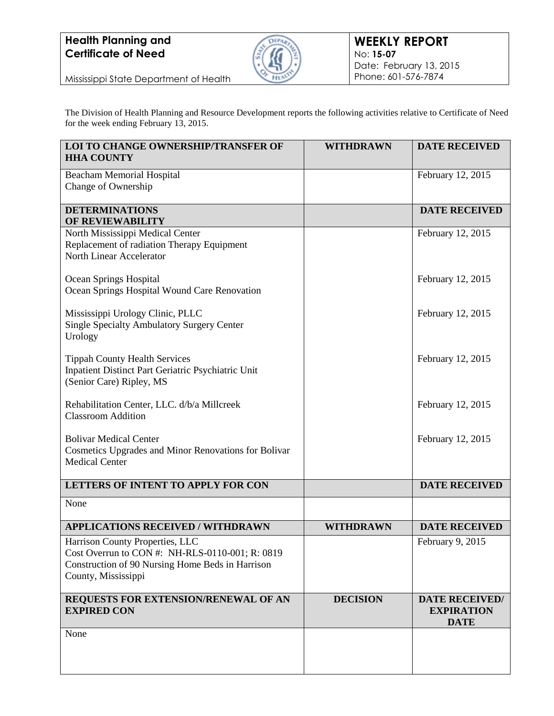## **Health Planning and Certificate of Need**



Mississippi State Department of Health

The Division of Health Planning and Resource Development reports the following activities relative to Certificate of Need for the week ending February 13, 2015.

| <b>LOI TO CHANGE OWNERSHIP/TRANSFER OF</b><br><b>HHA COUNTY</b>                                                                                               | <b>WITHDRAWN</b> | <b>DATE RECEIVED</b>                                      |
|---------------------------------------------------------------------------------------------------------------------------------------------------------------|------------------|-----------------------------------------------------------|
| <b>Beacham Memorial Hospital</b><br>Change of Ownership                                                                                                       |                  | February 12, 2015                                         |
| <b>DETERMINATIONS</b><br><b>OF REVIEWABILITY</b>                                                                                                              |                  | <b>DATE RECEIVED</b>                                      |
| North Mississippi Medical Center<br>Replacement of radiation Therapy Equipment<br>North Linear Accelerator                                                    |                  | February 12, 2015                                         |
| Ocean Springs Hospital<br>Ocean Springs Hospital Wound Care Renovation                                                                                        |                  | February 12, 2015                                         |
| Mississippi Urology Clinic, PLLC<br><b>Single Specialty Ambulatory Surgery Center</b><br>Urology                                                              |                  | February 12, 2015                                         |
| <b>Tippah County Health Services</b><br>Inpatient Distinct Part Geriatric Psychiatric Unit<br>(Senior Care) Ripley, MS                                        |                  | February 12, 2015                                         |
| Rehabilitation Center, LLC. d/b/a Millcreek<br><b>Classroom Addition</b>                                                                                      |                  | February 12, 2015                                         |
| <b>Bolivar Medical Center</b><br>Cosmetics Upgrades and Minor Renovations for Bolivar<br><b>Medical Center</b>                                                |                  | February 12, 2015                                         |
| LETTERS OF INTENT TO APPLY FOR CON                                                                                                                            |                  | <b>DATE RECEIVED</b>                                      |
| None                                                                                                                                                          |                  |                                                           |
| <b>APPLICATIONS RECEIVED / WITHDRAWN</b>                                                                                                                      | <b>WITHDRAWN</b> | <b>DATE RECEIVED</b>                                      |
| Harrison County Properties, LLC<br>Cost Overrun to CON #: NH-RLS-0110-001; R: 0819<br>Construction of 90 Nursing Home Beds in Harrison<br>County, Mississippi |                  | February 9, 2015                                          |
| REQUESTS FOR EXTENSION/RENEWAL OF AN<br><b>EXPIRED CON</b>                                                                                                    | <b>DECISION</b>  | <b>DATE RECEIVED/</b><br><b>EXPIRATION</b><br><b>DATE</b> |
| None                                                                                                                                                          |                  |                                                           |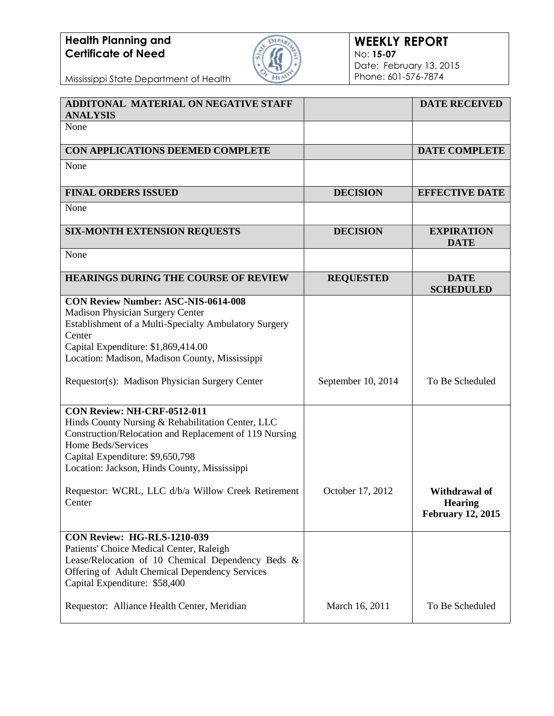## **Health Planning and Certificate of Need**



## **WEEKLY REPORT** No: **15-07** Date: February 13, 2015 Phone: 601-576-7874

Mississippi State Department of Health

| ADDITONAL MATERIAL ON NEGATIVE STAFF<br><b>ANALYSIS</b>                                                                                                                                                                                              |                    | <b>DATE RECEIVED</b>                                               |
|------------------------------------------------------------------------------------------------------------------------------------------------------------------------------------------------------------------------------------------------------|--------------------|--------------------------------------------------------------------|
| None                                                                                                                                                                                                                                                 |                    |                                                                    |
| CON APPLICATIONS DEEMED COMPLETE                                                                                                                                                                                                                     |                    | <b>DATE COMPLETE</b>                                               |
| None                                                                                                                                                                                                                                                 |                    |                                                                    |
| <b>FINAL ORDERS ISSUED</b>                                                                                                                                                                                                                           | <b>DECISION</b>    | <b>EFFECTIVE DATE</b>                                              |
| None                                                                                                                                                                                                                                                 |                    |                                                                    |
| <b>SIX-MONTH EXTENSION REQUESTS</b>                                                                                                                                                                                                                  | <b>DECISION</b>    | <b>EXPIRATION</b><br><b>DATE</b>                                   |
| None                                                                                                                                                                                                                                                 |                    |                                                                    |
| <b>HEARINGS DURING THE COURSE OF REVIEW</b>                                                                                                                                                                                                          | <b>REQUESTED</b>   | <b>DATE</b><br><b>SCHEDULED</b>                                    |
| <b>CON Review Number: ASC-NIS-0614-008</b><br>Madison Physician Surgery Center<br>Establishment of a Multi-Specialty Ambulatory Surgery<br>Center<br>Capital Expenditure: \$1,869,414.00<br>Location: Madison, Madison County, Mississippi           |                    |                                                                    |
| Requestor(s): Madison Physician Surgery Center                                                                                                                                                                                                       | September 10, 2014 | To Be Scheduled                                                    |
| CON Review: NH-CRF-0512-011<br>Hinds County Nursing & Rehabilitation Center, LLC<br>Construction/Relocation and Replacement of 119 Nursing<br>Home Beds/Services<br>Capital Expenditure: \$9,650,798<br>Location: Jackson, Hinds County, Mississippi |                    |                                                                    |
| Requestor: WCRL, LLC d/b/a Willow Creek Retirement<br>Center                                                                                                                                                                                         | October 17, 2012   | <b>Withdrawal of</b><br><b>Hearing</b><br><b>February 12, 2015</b> |
| CON Review: HG-RLS-1210-039<br>Patients' Choice Medical Center, Raleigh<br>Lease/Relocation of 10 Chemical Dependency Beds &<br>Offering of Adult Chemical Dependency Services<br>Capital Expenditure: \$58,400                                      |                    |                                                                    |
| Requestor: Alliance Health Center, Meridian                                                                                                                                                                                                          | March 16, 2011     | To Be Scheduled                                                    |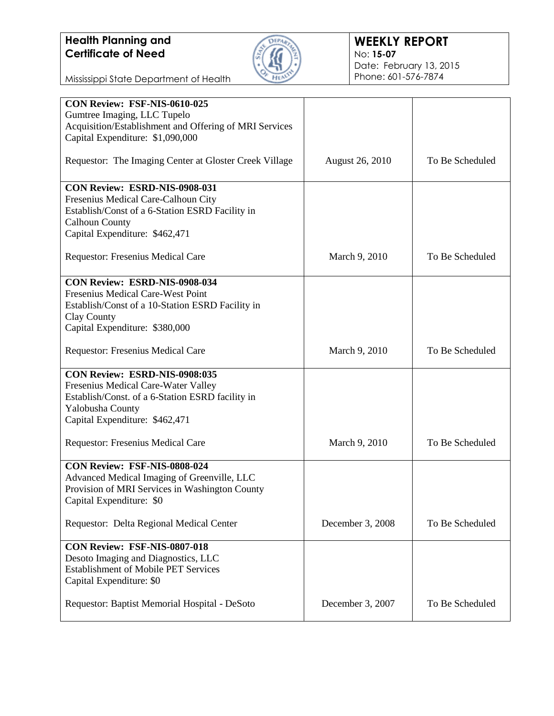

Mississippi State Department of Health

| CON Review: FSF-NIS-0610-025                           |                        |                 |
|--------------------------------------------------------|------------------------|-----------------|
| Gumtree Imaging, LLC Tupelo                            |                        |                 |
| Acquisition/Establishment and Offering of MRI Services |                        |                 |
| Capital Expenditure: \$1,090,000                       |                        |                 |
|                                                        |                        |                 |
| Requestor: The Imaging Center at Gloster Creek Village | <b>August 26, 2010</b> | To Be Scheduled |
|                                                        |                        |                 |
| CON Review: ESRD-NIS-0908-031                          |                        |                 |
| Fresenius Medical Care-Calhoun City                    |                        |                 |
| Establish/Const of a 6-Station ESRD Facility in        |                        |                 |
| <b>Calhoun County</b>                                  |                        |                 |
| Capital Expenditure: \$462,471                         |                        |                 |
|                                                        |                        |                 |
| <b>Requestor: Fresenius Medical Care</b>               | March 9, 2010          | To Be Scheduled |
|                                                        |                        |                 |
| CON Review: ESRD-NIS-0908-034                          |                        |                 |
| Fresenius Medical Care-West Point                      |                        |                 |
| Establish/Const of a 10-Station ESRD Facility in       |                        |                 |
| Clay County                                            |                        |                 |
| Capital Expenditure: \$380,000                         |                        |                 |
|                                                        |                        |                 |
| <b>Requestor: Fresenius Medical Care</b>               | March 9, 2010          | To Be Scheduled |
|                                                        |                        |                 |
| CON Review: ESRD-NIS-0908:035                          |                        |                 |
| Fresenius Medical Care-Water Valley                    |                        |                 |
| Establish/Const. of a 6-Station ESRD facility in       |                        |                 |
| Yalobusha County                                       |                        |                 |
| Capital Expenditure: \$462,471                         |                        |                 |
|                                                        |                        |                 |
| Requestor: Fresenius Medical Care                      | March 9, 2010          | To Be Scheduled |
|                                                        |                        |                 |
| CON Review: FSF-NIS-0808-024                           |                        |                 |
| Advanced Medical Imaging of Greenville, LLC            |                        |                 |
| Provision of MRI Services in Washington County         |                        |                 |
| Capital Expenditure: \$0                               |                        |                 |
|                                                        |                        |                 |
| Requestor: Delta Regional Medical Center               | December 3, 2008       | To Be Scheduled |
|                                                        |                        |                 |
| CON Review: FSF-NIS-0807-018                           |                        |                 |
| Desoto Imaging and Diagnostics, LLC                    |                        |                 |
| <b>Establishment of Mobile PET Services</b>            |                        |                 |
| Capital Expenditure: \$0                               |                        |                 |
|                                                        |                        |                 |
| Requestor: Baptist Memorial Hospital - DeSoto          | December 3, 2007       | To Be Scheduled |
|                                                        |                        |                 |